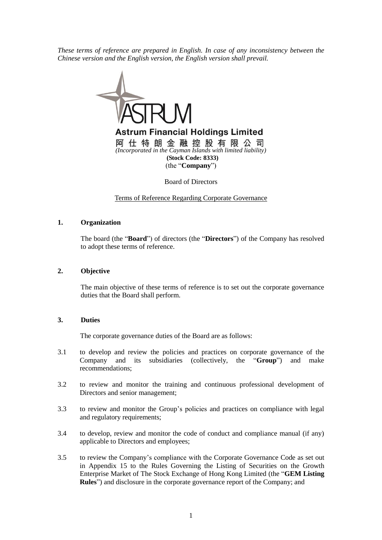*These terms of reference are prepared in English. In case of any inconsistency between the Chinese version and the English version, the English version shall prevail.*



Board of Directors

Terms of Reference Regarding Corporate Governance

## **1. Organization**

The board (the "**Board**") of directors (the "**Directors**") of the Company has resolved to adopt these terms of reference.

## **2. Objective**

The main objective of these terms of reference is to set out the corporate governance duties that the Board shall perform.

## **3. Duties**

The corporate governance duties of the Board are as follows:

- 3.1 to develop and review the policies and practices on corporate governance of the Company and its subsidiaries (collectively, the "**Group**") and make recommendations;
- 3.2 to review and monitor the training and continuous professional development of Directors and senior management;
- 3.3 to review and monitor the Group's policies and practices on compliance with legal and regulatory requirements;
- 3.4 to develop, review and monitor the code of conduct and compliance manual (if any) applicable to Directors and employees;
- 3.5 to review the Company's compliance with the Corporate Governance Code as set out in Appendix 15 to the Rules Governing the Listing of Securities on the Growth Enterprise Market of The Stock Exchange of Hong Kong Limited (the "**GEM Listing Rules**") and disclosure in the corporate governance report of the Company; and